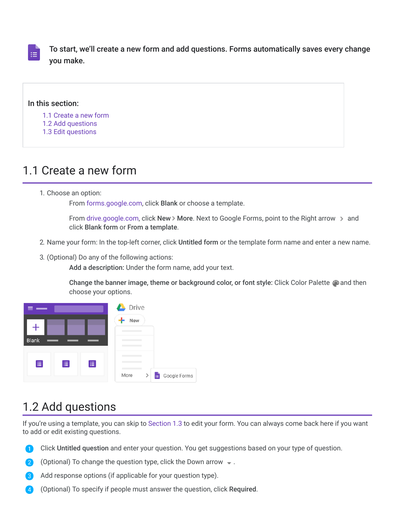

To start, we'll create a new form and add questions. Forms automatically saves every change you make.

#### In this section:

[1.1 Create a new form](https://support.google.com/a/users/answer/9303071?hl=en&authuser=2&ref_topic=9296604#1.1)

- [1.2 Add questions](https://support.google.com/a/users/answer/9303071?hl=en&authuser=2&ref_topic=9296604#1.2)
- [1.3 Edit questions](https://support.google.com/a/users/answer/9303071?hl=en&authuser=2&ref_topic=9296604#1.3)

## 1.1 Create a new form

1. Choose an option:

From [forms.google.com,](https://forms.google.com/) click Blank or choose a template.

From [drive.google.com](https://drive.google.com/), click New > More. Next to Google Forms, point to the Right arrow  $\rightarrow$  and click Blank form or From a template.

- 2. Name your form: In the top-left corner, click Untitled form or the template form name and enter a new name.
- 3. (Optional) Do any of the following actions:

Add a description: Under the form name, add your text.

Change the banner image, theme or background color, or font style: Click Color Palette  $\bullet$  and then choose your options.



## 1.2 Add questions

If you're using a template, you can skip to [Section 1.3](https://support.google.com/a/users/answer/9303071?hl=en&authuser=2&ref_topic=9296604#1.3) to edit your form. You can always come back here if you want to add or edit existing questions.

- Click Untitled question and enter your question. You get suggestions based on your type of question.
- (Optional) To change the question type, click the Down arrow  $\rightarrow$ .  $\mathbf{2}$
- Add response options (if applicable for your question type).  $\vert 3 \rangle$
- (Optional) To specify if people must answer the question, click Required.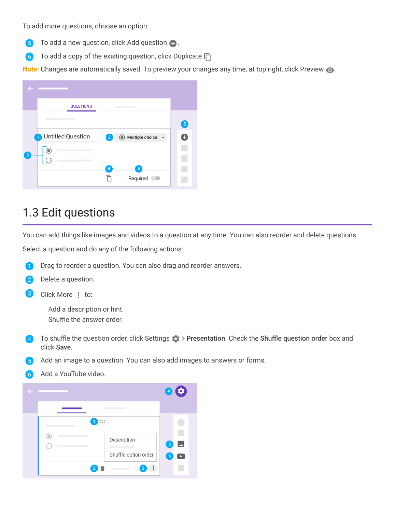To add more questions, choose an option:

- To add a new question, click Add question  $\bigoplus$ . 6
- 6 To add a copy of the existing question, click Duplicate  $\Box$ .

Note: Changes are automatically saved. To preview your changes any time, at top right, click Preview  $\bullet$ .

| e                            |                                                                       |                |
|------------------------------|-----------------------------------------------------------------------|----------------|
|                              | <b>QUESTIONS</b>                                                      |                |
|                              |                                                                       | $\overline{5}$ |
|                              | Untitled Question<br>◯ Multiple choice<br>1<br>$\left 2\right\rangle$ | ×              |
| $\left\lceil 3 \right\rceil$ |                                                                       |                |
|                              | $6\phantom{.}6$<br>$\overline{4}$                                     |                |
|                              | Required                                                              | <b>II</b>      |

### 1.3 Edit questions

You can add things like images and videos to a question at any time. You can also reorder and delete questions.

Select a question and do any of the following actions:

Drag to reorder a question. You can also drag and reorder answers. O



3 Click More  $\frac{1}{2}$  to:

> Add a description or hint. Shuffle the answer order.

- 4 To shuffle the question order, click Settings  $\rightarrow$  Presentation. Check the Shuffle question order box and click Save.
- Add an image to a question. You can also add images to answers or forms.
- Add a YouTube video.6

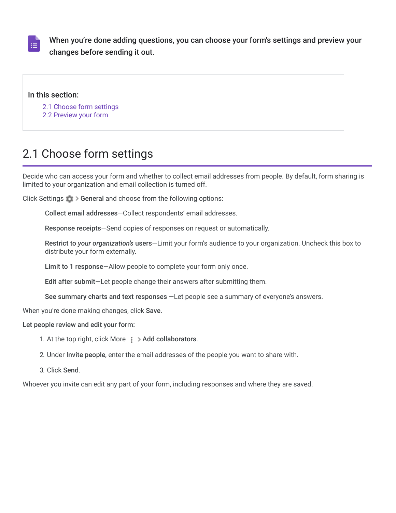

When you're done adding questions, you can choose your form's settings and preview your changes before sending it out.

#### In this section:

[2.1 Choose form settings](https://support.google.com/a/users/answer/9302966?hl=en&authuser=2&ref_topic=9296604#2.1)

[2.2 Preview your form](https://support.google.com/a/users/answer/9302966?hl=en&authuser=2&ref_topic=9296604#2.2)

# 2.1 Choose form settings

Decide who can access your form and whether to collect email addresses from people. By default, form sharing is limited to your organization and email collection is turned off.

Click Settings  $\bullet$  > General and choose from the following options:

Collect email addresses—Collect respondents' email addresses.

Response receipts—Send copies of responses on request or automatically.

Restrict to *your organization's* users—Limit your form's audience to your organization. Uncheck this box to distribute your form externally.

Limit to 1 response—Allow people to complete your form only once.

Edit after submit—Let people change their answers after submitting them.

See summary charts and text responses —Let people see a summary of everyone's answers.

When you're done making changes, click Save.

#### Let people review and edit your form:

- 1. At the top right, click More  $\frac{1}{2}$  > Add collaborators.
- 2. Under Invite people, enter the email addresses of the people you want to share with.
- 3. Click Send.

Whoever you invite can edit any part of your form, including responses and where they are saved.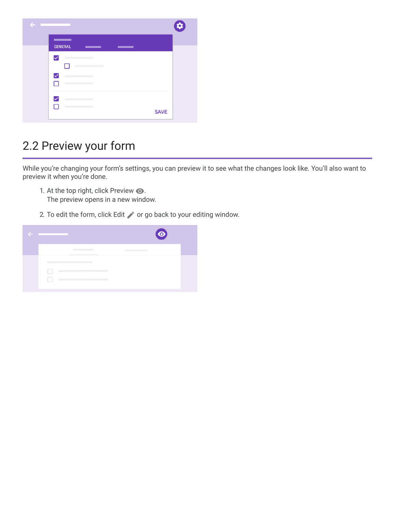| $\leftarrow$ |                           | $\boldsymbol{\sigma}$ |
|--------------|---------------------------|-----------------------|
|              | <b>GENERAL</b><br>_<br>__ |                       |
|              | ☑                         |                       |
|              | ☑                         |                       |
|              | ⊽<br><b>SAVE</b>          |                       |

# 2.2 Preview your form

While you're changing your form's settings, you can preview it to see what the changes look like. You'll also want to preview it when you're done.

- 1. At the top right, click Preview  $\bigcirc$ . The preview opens in a new window.
- 2. To edit the form, click Edit  $\bullet$  or go back to your editing window.

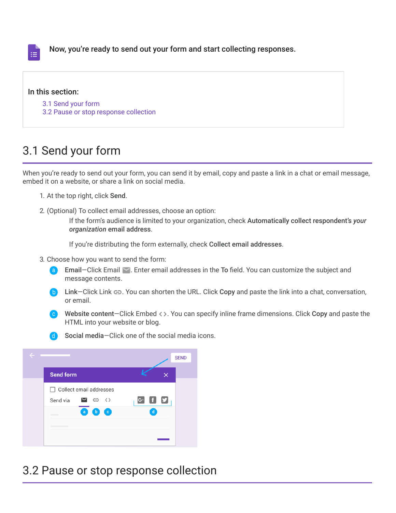

Now, you're ready to send out your form and start collecting responses.

### In this section:

- [3.1 Send your form](https://support.google.com/a/users/answer/9303072?hl=en&authuser=2&ref_topic=9296604#3.1)
- [3.2 Pause or stop response collection](https://support.google.com/a/users/answer/9303072?hl=en&authuser=2&ref_topic=9296604#3.2)

## 3.1 Send your form

When you're ready to send out your form, you can send it by email, copy and paste a link in a chat or email message, embed it on a website, or share a link on social media.

- 1. At the top right, click Send.
- 2. (Optional) To collect email addresses, choose an option:

If the form's audience is limited to your organization, check Automatically collect respondent's *your organization* email address.

If you're distributing the form externally, check Collect email addresses.

- 3. Choose how you want to send the form:
	- Email–Click Email  $\leq$ . Enter email addresses in the To field. You can customize the subject and message contents.
	- **b** Link–Click Link  $\epsilon$ . You can shorten the URL. Click Copy and paste the link into a chat, conversation, or email.
	- Website content–Click Embed  $\langle \rangle$ . You can specify inline frame dimensions. Click Copy and paste the HTML into your website or blog.
	- Social media—Click one of the social media icons.



## 3.2 Pause or stop response collection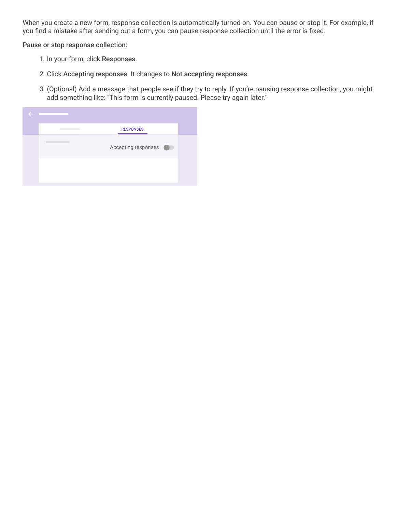When you create a new form, response collection is automatically turned on. You can pause or stop it. For example, if you find a mistake after sending out a form, you can pause response collection until the error is fixed.

Pause or stop response collection:

- 1. In your form, click Responses.
- 2. Click Accepting responses. It changes to Not accepting responses.
- 3. (Optional) Add a message that people see if they try to reply. If you're pausing response collection, you might add something like: "This form is currently paused. Please try again later."

| <b>RESPONSES</b>    |
|---------------------|
| Accepting responses |
|                     |
|                     |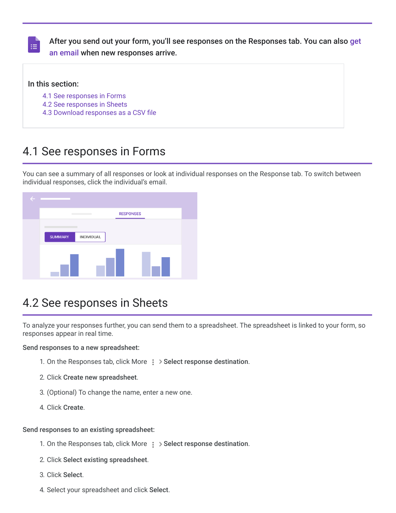

[After you send out your form, you'll see responses on the Responses tab. You can also](https://support.google.com/a/users/answer/9308874) get an email when new responses arrive.

#### In this section:

- [4.1 See responses in Forms](https://support.google.com/a/users/answer/9303167?hl=en&authuser=2&ref_topic=9296604#4.1)
- [4.2 See responses in Sheets](https://support.google.com/a/users/answer/9303167?hl=en&authuser=2&ref_topic=9296604#4.2)
- [4.3 Download responses as a CSV file](https://support.google.com/a/users/answer/9303167?hl=en&authuser=2&ref_topic=9296604#4.3)

### 4.1 See responses in Forms

You can see a summary of all responses or look at individual responses on the Response tab. To switch between individual responses, click the individual's email.



### 4.2 See responses in Sheets

To analyze your responses further, you can send them to a spreadsheet. The spreadsheet is linked to your form, so responses appear in real time.

Send responses to a new spreadsheet:

- 1. On the Responses tab, click More  $\frac{1}{2}$  > Select response destination.
- 2. Click Create new spreadsheet.
- 3. (Optional) To change the name, enter a new one.
- 4. Click Create.

#### Send responses to an existing spreadsheet:

- 1. On the Responses tab, click More  $\cdot$  Select response destination.
- 2. Click Select existing spreadsheet.
- 3. Click Select.
- 4. Select your spreadsheet and click Select.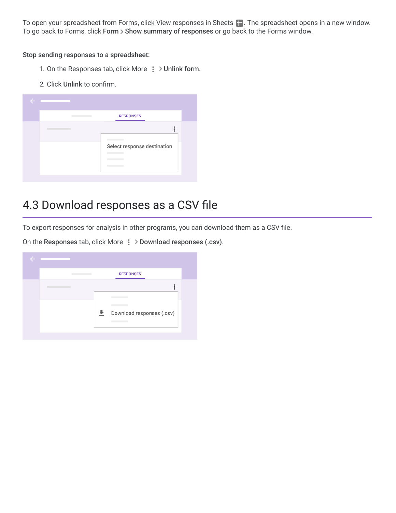To open your spreadsheet from Forms, click View responses in Sheets . The spreadsheet opens in a new window. To go back to Forms, click Form > Show summary of responses or go back to the Forms window.

Stop sending responses to a spreadsheet:

- 1. On the Responses tab, click More  $\frac{1}{2}$  > Unlink form.
- 2. Click Unlink to confirm.

| Ø |                             |
|---|-----------------------------|
|   | <b>RESPONSES</b>            |
|   |                             |
|   | Select response destination |

# 4.3 Download responses as a CSV file

To export responses for analysis in other programs, you can download them as a CSV file.

On the Responses tab, click More  $\frac{1}{5}$  > Download responses (.csv).

| <b>RESPONSES</b>               |  |
|--------------------------------|--|
|                                |  |
|                                |  |
| 土<br>Download responses (.csv) |  |
|                                |  |